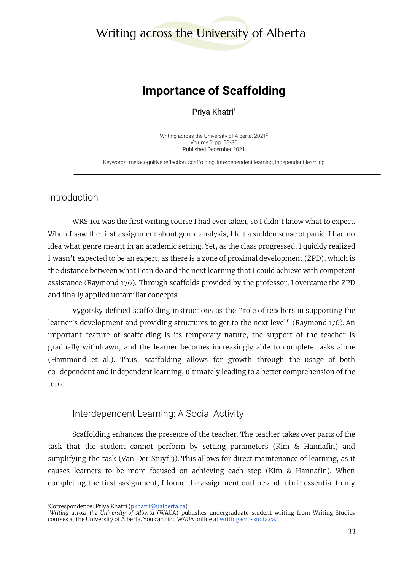## Writing across the University of Alberta

## **Importance of Scaffolding**

Priya Khatri<sup>1</sup>

Writing across the University of Alberta, 2021 2 Volume 2, pp. 33-36 Published December 2021

Keywords: metacognitive reflection, scaffolding, interdependent learning, independent learning

Introduction

WRS 101 was the first writing course I had ever taken, so I didn't know what to expect. When I saw the first assignment about genre analysis, I felt a sudden sense of panic. I had no idea what genre meant in an academic setting. Yet, as the class progressed, I quickly realized I wasn't expected to be an expert, as there is a zone of proximal development (ZPD), which is the distance between what I can do and the next learning that I could achieve with competent assistance (Raymond 176). Through scaffolds provided by the professor, I overcame the ZPD and finally applied unfamiliar concepts.

Vygotsky defined scaffolding instructions as the "role of teachers in supporting the learner's development and providing structures to get to the next level" (Raymond 176). An important feature of scaffolding is its temporary nature, the support of the teacher is gradually withdrawn, and the learner becomes increasingly able to complete tasks alone (Hammond et al.). Thus, scaffolding allows for growth through the usage of both co-dependent and independent learning, ultimately leading to a better comprehension of the topic.

Interdependent Learning: A Social Activity

Scaffolding enhances the presence of the teacher. The teacher takes over parts of the task that the student cannot perform by setting parameters (Kim & Hannafin) and simplifying the task (Van Der Stuyf 3). This allows for direct maintenance of learning, as it causes learners to be more focused on achieving each step (Kim & Hannafin). When completing the first assignment, I found the assignment outline and rubric essential to my

<sup>&</sup>lt;sup>1</sup>Correspondence: Priya Khatri [\(pkhatri@ualberta.ca](mailto:pkhatri@ualberta.ca))

*<sup>2</sup>Writing across the University of Alberta* (WAUA) publishes undergraduate student writing from Writing Studies courses at the University of Alberta. You can find WAUA online at [writingacrossuofa.ca.](https://writingacrossuofa.ca/)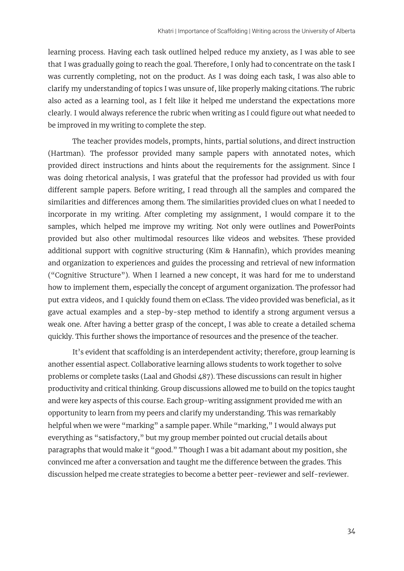learning process. Having each task outlined helped reduce my anxiety, as I was able to see that I was gradually going to reach the goal. Therefore, I only had to concentrate on the task I was currently completing, not on the product. As I was doing each task, I was also able to clarify my understanding of topics I was unsure of, like properly making citations. The rubric also acted as a learning tool, as I felt like it helped me understand the expectations more clearly. I would always reference the rubric when writing as I could figure out what needed to be improved in my writing to complete the step.

The teacher provides models, prompts, hints, partial solutions, and direct instruction (Hartman). The professor provided many sample papers with annotated notes, which provided direct instructions and hints about the requirements for the assignment. Since I was doing rhetorical analysis, I was grateful that the professor had provided us with four different sample papers. Before writing, I read through all the samples and compared the similarities and differences among them. The similarities provided clues on what I needed to incorporate in my writing. After completing my assignment, I would compare it to the samples, which helped me improve my writing. Not only were outlines and PowerPoints provided but also other multimodal resources like videos and websites. These provided additional support with cognitive structuring (Kim & Hannafin), which provides meaning and organization to experiences and guides the processing and retrieval of new information ("Cognitive Structure"). When I learned a new concept, it was hard for me to understand how to implement them, especially the concept of argument organization. The professor had put extra videos, and I quickly found them on eClass. The video provided was beneficial, as it gave actual examples and a step-by-step method to identify a strong argument versus a weak one. After having a better grasp of the concept, I was able to create a detailed schema quickly. This further shows the importance of resources and the presence of the teacher.

It's evident that scaffolding is an interdependent activity; therefore, group learning is another essential aspect. Collaborative learning allows students to work together to solve problems or complete tasks (Laal and Ghodsi 487). These discussions can result in higher productivity and critical thinking. Group discussions allowed me to build on the topics taught and were key aspects of this course. Each group-writing assignment provided me with an opportunity to learn from my peers and clarify my understanding. This was remarkably helpful when we were "marking" a sample paper. While "marking," I would always put everything as "satisfactory," but my group member pointed out crucial details about paragraphs that would make it "good." Though I was a bit adamant about my position, she convinced me after a conversation and taught me the difference between the grades. This discussion helped me create strategies to become a better peer-reviewer and self-reviewer.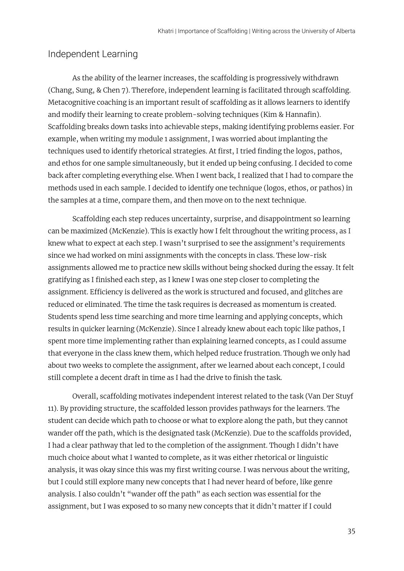## Independent Learning

As the ability of the learner increases, the scaffolding is progressively withdrawn (Chang, Sung, & Chen 7). Therefore, independent learning is facilitated through scaffolding. Metacognitive coaching is an important result of scaffolding as it allows learners to identify and modify their learning to create problem-solving techniques (Kim & Hannafin). Scaffolding breaks down tasks into achievable steps, making identifying problems easier. For example, when writing my module 1 assignment, I was worried about implanting the techniques used to identify rhetorical strategies. At first, I tried finding the logos, pathos, and ethos for one sample simultaneously, but it ended up being confusing. I decided to come back after completing everything else. When I went back, I realized that I had to compare the methods used in each sample. I decided to identify one technique (logos, ethos, or pathos) in the samples at a time, compare them, and then move on to the next technique.

Scaffolding each step reduces uncertainty, surprise, and disappointment so learning can be maximized (McKenzie). This is exactly how I felt throughout the writing process, as I knew what to expect at each step. I wasn't surprised to see the assignment's requirements since we had worked on mini assignments with the concepts in class. These low-risk assignments allowed me to practice new skills without being shocked during the essay. It felt gratifying as I finished each step, as I knew I was one step closer to completing the assignment. Efficiency is delivered as the work is structured and focused, and glitches are reduced or eliminated. The time the task requires is decreased as momentum is created. Students spend less time searching and more time learning and applying concepts, which results in quicker learning (McKenzie). Since I already knew about each topic like pathos, I spent more time implementing rather than explaining learned concepts, as I could assume that everyone in the class knew them, which helped reduce frustration. Though we only had about two weeks to complete the assignment, after we learned about each concept, I could still complete a decent draft in time as I had the drive to finish the task.

Overall, scaffolding motivates independent interest related to the task (Van Der Stuyf 11). By providing structure, the scaffolded lesson provides pathways for the learners. The student can decide which path to choose or what to explore along the path, but they cannot wander off the path, which is the designated task (McKenzie). Due to the scaffolds provided, I had a clear pathway that led to the completion of the assignment. Though I didn't have much choice about what I wanted to complete, as it was either rhetorical or linguistic analysis, it was okay since this was my first writing course. I was nervous about the writing, but I could still explore many new concepts that I had never heard of before, like genre analysis. I also couldn't "wander off the path" as each section was essential for the assignment, but I was exposed to so many new concepts that it didn't matter if I could